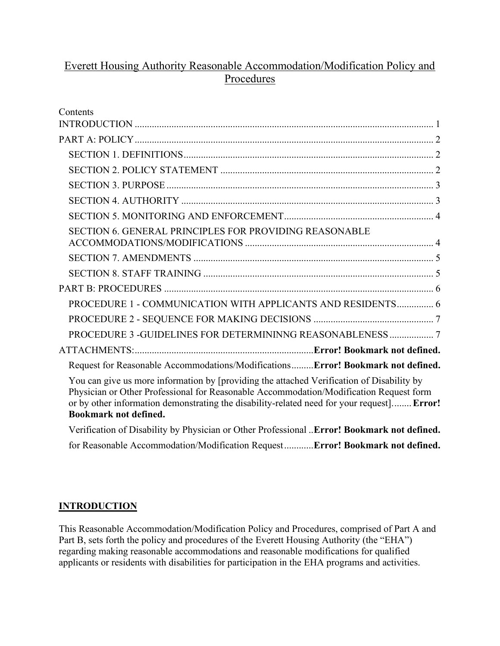# Everett Housing Authority Reasonable Accommodation/Modification Policy and Procedures

| Contents                                                                                                                                                                                                                                                                                                          |  |
|-------------------------------------------------------------------------------------------------------------------------------------------------------------------------------------------------------------------------------------------------------------------------------------------------------------------|--|
|                                                                                                                                                                                                                                                                                                                   |  |
|                                                                                                                                                                                                                                                                                                                   |  |
|                                                                                                                                                                                                                                                                                                                   |  |
|                                                                                                                                                                                                                                                                                                                   |  |
|                                                                                                                                                                                                                                                                                                                   |  |
|                                                                                                                                                                                                                                                                                                                   |  |
| <b>SECTION 6. GENERAL PRINCIPLES FOR PROVIDING REASONABLE</b>                                                                                                                                                                                                                                                     |  |
|                                                                                                                                                                                                                                                                                                                   |  |
|                                                                                                                                                                                                                                                                                                                   |  |
|                                                                                                                                                                                                                                                                                                                   |  |
| PROCEDURE 1 - COMMUNICATION WITH APPLICANTS AND RESIDENTS 6                                                                                                                                                                                                                                                       |  |
|                                                                                                                                                                                                                                                                                                                   |  |
|                                                                                                                                                                                                                                                                                                                   |  |
|                                                                                                                                                                                                                                                                                                                   |  |
| Request for Reasonable Accommodations/ModificationsError! Bookmark not defined.                                                                                                                                                                                                                                   |  |
| You can give us more information by [providing the attached Verification of Disability by<br>Physician or Other Professional for Reasonable Accommodation/Modification Request form<br>or by other information demonstrating the disability-related need for your request] Error!<br><b>Bookmark not defined.</b> |  |
| Verification of Disability by Physician or Other Professional Error! Bookmark not defined.                                                                                                                                                                                                                        |  |
|                                                                                                                                                                                                                                                                                                                   |  |

for Reasonable Accommodation/Modification Request............**Error! Bookmark not defined.**

# <span id="page-0-0"></span>**INTRODUCTION**

This Reasonable Accommodation/Modification Policy and Procedures, comprised of Part A and Part B, sets forth the policy and procedures of the Everett Housing Authority (the "EHA") regarding making reasonable accommodations and reasonable modifications for qualified applicants or residents with disabilities for participation in the EHA programs and activities.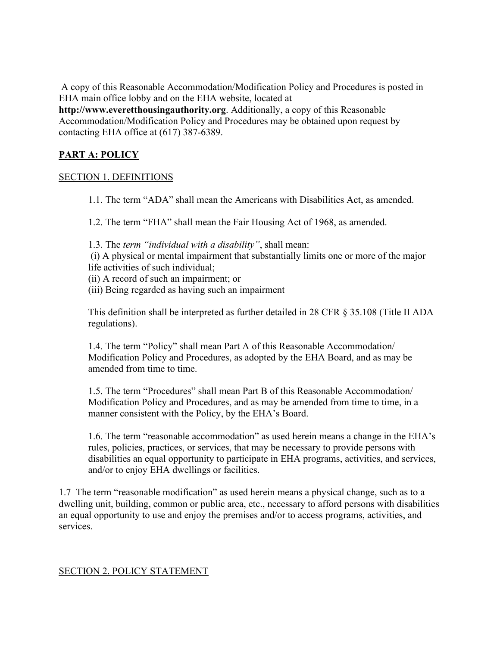A copy of this Reasonable Accommodation/Modification Policy and Procedures is posted in EHA main office lobby and on the EHA website, located at

**http://www.everetthousingauthority.org**. Additionally, a copy of this Reasonable Accommodation/Modification Policy and Procedures may be obtained upon request by contacting EHA office at (617) 387-6389.

# <span id="page-1-0"></span>**PART A: POLICY**

### <span id="page-1-1"></span>SECTION 1. DEFINITIONS

1.1. The term "ADA" shall mean the Americans with Disabilities Act, as amended.

1.2. The term "FHA" shall mean the Fair Housing Act of 1968, as amended.

- 1.3. The *term "individual with a disability"*, shall mean:
- (i) A physical or mental impairment that substantially limits one or more of the major life activities of such individual;
- (ii) A record of such an impairment; or
- (iii) Being regarded as having such an impairment

This definition shall be interpreted as further detailed in 28 CFR § 35.108 (Title II ADA regulations).

1.4. The term "Policy" shall mean Part A of this Reasonable Accommodation/ Modification Policy and Procedures, as adopted by the EHA Board, and as may be amended from time to time.

1.5. The term "Procedures" shall mean Part B of this Reasonable Accommodation/ Modification Policy and Procedures, and as may be amended from time to time, in a manner consistent with the Policy, by the EHA's Board.

1.6. The term "reasonable accommodation" as used herein means a change in the EHA's rules, policies, practices, or services, that may be necessary to provide persons with disabilities an equal opportunity to participate in EHA programs, activities, and services, and/or to enjoy EHA dwellings or facilities.

1.7 The term "reasonable modification" as used herein means a physical change, such as to a dwelling unit, building, common or public area, etc., necessary to afford persons with disabilities an equal opportunity to use and enjoy the premises and/or to access programs, activities, and services.

# <span id="page-1-2"></span>SECTION 2. POLICY STATEMENT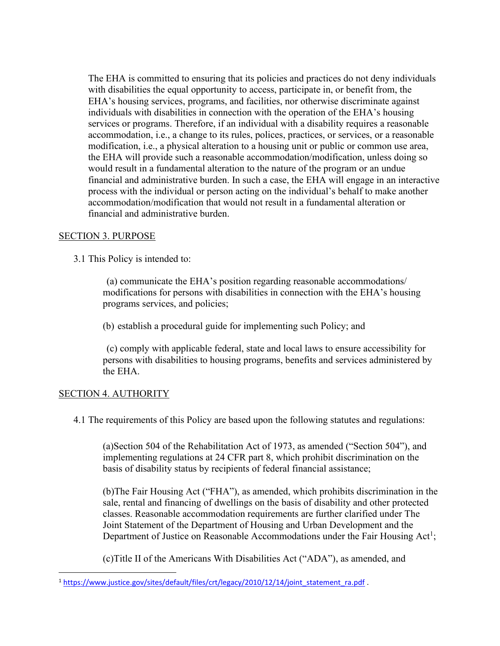The EHA is committed to ensuring that its policies and practices do not deny individuals with disabilities the equal opportunity to access, participate in, or benefit from, the EHA's housing services, programs, and facilities, nor otherwise discriminate against individuals with disabilities in connection with the operation of the EHA's housing services or programs. Therefore, if an individual with a disability requires a reasonable accommodation, i.e., a change to its rules, polices, practices, or services, or a reasonable modification, i.e., a physical alteration to a housing unit or public or common use area, the EHA will provide such a reasonable accommodation/modification, unless doing so would result in a fundamental alteration to the nature of the program or an undue financial and administrative burden. In such a case, the EHA will engage in an interactive process with the individual or person acting on the individual's behalf to make another accommodation/modification that would not result in a fundamental alteration or financial and administrative burden.

### <span id="page-2-0"></span>SECTION 3. PURPOSE

3.1 This Policy is intended to:

(a) communicate the EHA's position regarding reasonable accommodations/ modifications for persons with disabilities in connection with the EHA's housing programs services, and policies;

(b) establish a procedural guide for implementing such Policy; and

(c) comply with applicable federal, state and local laws to ensure accessibility for persons with disabilities to housing programs, benefits and services administered by the EHA.

# <span id="page-2-1"></span>SECTION 4. AUTHORITY

4.1 The requirements of this Policy are based upon the following statutes and regulations:

(a)Section 504 of the Rehabilitation Act of 1973, as amended ("Section 504"), and implementing regulations at 24 CFR part 8, which prohibit discrimination on the basis of disability status by recipients of federal financial assistance;

(b)The Fair Housing Act ("FHA"), as amended, which prohibits discrimination in the sale, rental and financing of dwellings on the basis of disability and other protected classes. Reasonable accommodation requirements are further clarified under The Joint Statement of the Department of Housing and Urban Development and the Department of Justice on Reasonable Accommodations under the Fair Housing Act<sup>1</sup>;

(c)Title II of the Americans With Disabilities Act ("ADA"), as amended, and

<sup>&</sup>lt;sup>1</sup> [https://www.justice.gov/sites/default/files/crt/legacy/2010/12/14/joint\\_statement\\_ra.pdf](https://www.justice.gov/sites/default/files/crt/legacy/2010/12/14/joint_statement_ra.pdf) .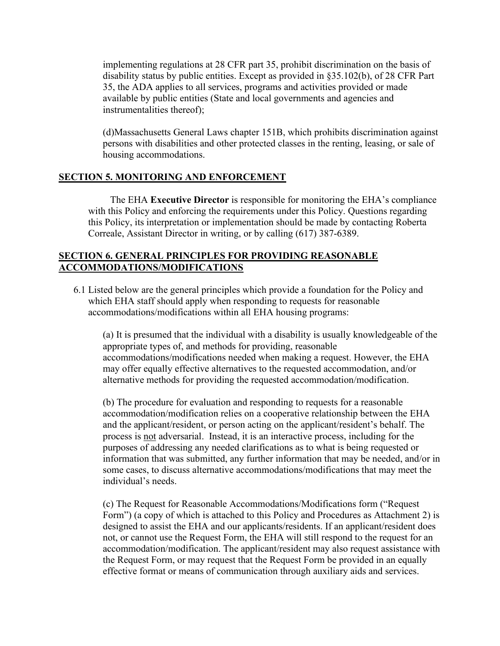implementing regulations at 28 CFR part 35, prohibit discrimination on the basis of disability status by public entities. Except as provided in §35.102(b), of 28 CFR Part 35, the ADA applies to all services, programs and activities provided or made available by public entities (State and local governments and agencies and instrumentalities thereof);

(d)Massachusetts General Laws chapter 151B, which prohibits discrimination against persons with disabilities and other protected classes in the renting, leasing, or sale of housing accommodations.

# <span id="page-3-0"></span>**SECTION 5. MONITORING AND ENFORCEMENT**

 The EHA **Executive Director** is responsible for monitoring the EHA's compliance with this Policy and enforcing the requirements under this Policy. Questions regarding this Policy, its interpretation or implementation should be made by contacting Roberta Correale, Assistant Director in writing, or by calling (617) 387-6389.

# <span id="page-3-1"></span>**SECTION 6. GENERAL PRINCIPLES FOR PROVIDING REASONABLE ACCOMMODATIONS/MODIFICATIONS**

6.1 Listed below are the general principles which provide a foundation for the Policy and which EHA staff should apply when responding to requests for reasonable accommodations/modifications within all EHA housing programs:

(a) It is presumed that the individual with a disability is usually knowledgeable of the appropriate types of, and methods for providing, reasonable accommodations/modifications needed when making a request. However, the EHA may offer equally effective alternatives to the requested accommodation, and/or alternative methods for providing the requested accommodation/modification.

(b) The procedure for evaluation and responding to requests for a reasonable accommodation/modification relies on a cooperative relationship between the EHA and the applicant/resident, or person acting on the applicant/resident's behalf. The process is not adversarial. Instead, it is an interactive process, including for the purposes of addressing any needed clarifications as to what is being requested or information that was submitted, any further information that may be needed, and/or in some cases, to discuss alternative accommodations/modifications that may meet the individual's needs.

(c) The Request for Reasonable Accommodations/Modifications form ("Request Form") (a copy of which is attached to this Policy and Procedures as Attachment 2) is designed to assist the EHA and our applicants/residents. If an applicant/resident does not, or cannot use the Request Form, the EHA will still respond to the request for an accommodation/modification. The applicant/resident may also request assistance with the Request Form, or may request that the Request Form be provided in an equally effective format or means of communication through auxiliary aids and services.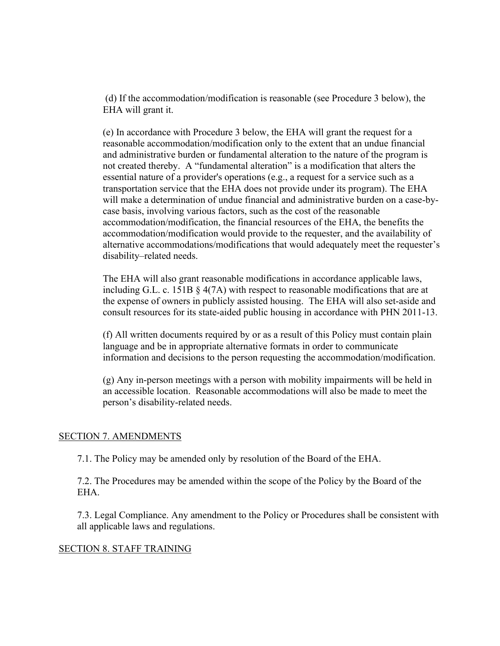(d) If the accommodation/modification is reasonable (see Procedure 3 below), the EHA will grant it.

(e) In accordance with Procedure 3 below, the EHA will grant the request for a reasonable accommodation/modification only to the extent that an undue financial and administrative burden or fundamental alteration to the nature of the program is not created thereby. A "fundamental alteration" is a modification that alters the essential nature of a provider's operations (e.g., a request for a service such as a transportation service that the EHA does not provide under its program). The EHA will make a determination of undue financial and administrative burden on a case-bycase basis, involving various factors, such as the cost of the reasonable accommodation/modification, the financial resources of the EHA, the benefits the accommodation/modification would provide to the requester, and the availability of alternative accommodations/modifications that would adequately meet the requester's disability–related needs.

The EHA will also grant reasonable modifications in accordance applicable laws, including G.L. c. 151B  $\S$  4(7A) with respect to reasonable modifications that are at the expense of owners in publicly assisted housing. The EHA will also set-aside and consult resources for its state-aided public housing in accordance with PHN 2011-13.

(f) All written documents required by or as a result of this Policy must contain plain language and be in appropriate alternative formats in order to communicate information and decisions to the person requesting the accommodation/modification.

(g) Any in-person meetings with a person with mobility impairments will be held in an accessible location. Reasonable accommodations will also be made to meet the person's disability-related needs.

#### <span id="page-4-0"></span>SECTION 7. AMENDMENTS

7.1. The Policy may be amended only by resolution of the Board of the EHA.

7.2. The Procedures may be amended within the scope of the Policy by the Board of the EHA.

7.3. Legal Compliance. Any amendment to the Policy or Procedures shall be consistent with all applicable laws and regulations.

#### <span id="page-4-1"></span>SECTION 8. STAFF TRAINING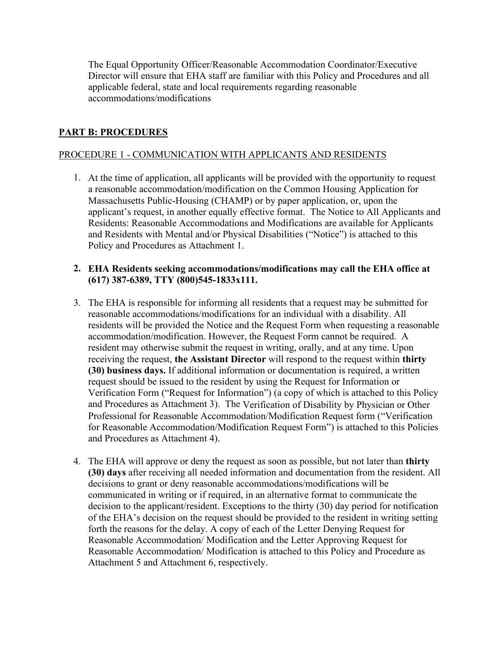The Equal Opportunity Officer/Reasonable Accommodation Coordinator/Executive Director will ensure that EHA staff are familiar with this Policy and Procedures and all applicable federal, state and local requirements regarding reasonable accommodations/modifications

# <span id="page-5-0"></span>**PART B: PROCEDURES**

## <span id="page-5-1"></span>PROCEDURE 1 - COMMUNICATION WITH APPLICANTS AND RESIDENTS

1. At the time of application, all applicants will be provided with the opportunity to request a reasonable accommodation/modification on the Common Housing Application for Massachusetts Public-Housing (CHAMP) or by paper application, or, upon the applicant's request, in another equally effective format. The Notice to All Applicants and Residents: Reasonable Accommodations and Modifications are available for Applicants and Residents with Mental and/or Physical Disabilities ("Notice") is attached to this Policy and Procedures as Attachment 1.

#### **2. EHA Residents seeking accommodations/modifications may call the EHA office at (617) 387-6389, TTY (800)545-1833x111.**

- 3. The EHA is responsible for informing all residents that a request may be submitted for reasonable accommodations/modifications for an individual with a disability. All residents will be provided the Notice and the Request Form when requesting a reasonable accommodation/modification. However, the Request Form cannot be required. A resident may otherwise submit the request in writing, orally, and at any time. Upon receiving the request, **the Assistant Director** will respond to the request within **thirty (30) business days.** If additional information or documentation is required, a written request should be issued to the resident by using the Request for Information or Verification Form ("Request for Information") (a copy of which is attached to this Policy and Procedures as Attachment 3). The Verification of Disability by Physician or Other Professional for Reasonable Accommodation/Modification Request form ("Verification for Reasonable Accommodation/Modification Request Form") is attached to this Policies and Procedures as Attachment 4).
- 4. The EHA will approve or deny the request as soon as possible, but not later than **thirty (30) days** after receiving all needed information and documentation from the resident. All decisions to grant or deny reasonable accommodations/modifications will be communicated in writing or if required, in an alternative format to communicate the decision to the applicant/resident. Exceptions to the thirty (30) day period for notification of the EHA's decision on the request should be provided to the resident in writing setting forth the reasons for the delay. A copy of each of the Letter Denying Request for Reasonable Accommodation/ Modification and the Letter Approving Request for Reasonable Accommodation/ Modification is attached to this Policy and Procedure as Attachment 5 and Attachment 6, respectively.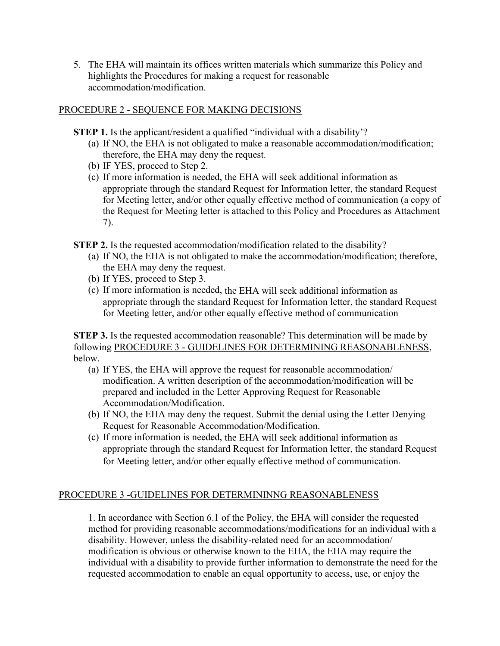5. The EHA will maintain its offices written materials which summarize this Policy and highlights the Procedures for making a request for reasonable accommodation/modification.

## <span id="page-6-0"></span>PROCEDURE 2 - SEQUENCE FOR MAKING DECISIONS

- **STEP 1.** Is the applicant/resident a qualified "individual with a disability"?
	- (a) If NO, the EHA is not obligated to make a reasonable accommodation/modification; therefore, the EHA may deny the request.
	- (b) IF YES, proceed to Step 2.
	- (c) If more information is needed, the EHA will seek additional information as appropriate through the standard Request for Information letter, the standard Request for Meeting letter, and/or other equally effective method of communication (a copy of the Request for Meeting letter is attached to this Policy and Procedures as Attachment 7).
- **STEP 2.** Is the requested accommodation/modification related to the disability?
	- (a) If NO, the EHA is not obligated to make the accommodation/modification; therefore, the EHA may deny the request.
	- (b) If YES, proceed to Step 3.
	- (c) If more information is needed, the EHA will seek additional information as appropriate through the standard Request for Information letter, the standard Request for Meeting letter, and/or other equally effective method of communication

**STEP 3.** Is the requested accommodation reasonable? This determination will be made by following PROCEDURE 3 - GUIDELINES FOR DETERMINING REASONABLENESS, below.

- (a) If YES, the EHA will approve the request for reasonable accommodation/ modification. A written description of the accommodation/modification will be prepared and included in the Letter Approving Request for Reasonable Accommodation/Modification.
- (b) If NO, the EHA may deny the request. Submit the denial using the Letter Denying Request for Reasonable Accommodation/Modification.
- (c) If more information is needed, the EHA will seek additional information as appropriate through the standard Request for Information letter, the standard Request for Meeting letter, and/or other equally effective method of communication.

#### <span id="page-6-1"></span>PROCEDURE 3 -GUIDELINES FOR DETERMININNG REASONABLENESS

1. In accordance with Section 6.1 of the Policy, the EHA will consider the requested method for providing reasonable accommodations/modifications for an individual with a disability. However, unless the disability-related need for an accommodation/ modification is obvious or otherwise known to the EHA, the EHA may require the individual with a disability to provide further information to demonstrate the need for the requested accommodation to enable an equal opportunity to access, use, or enjoy the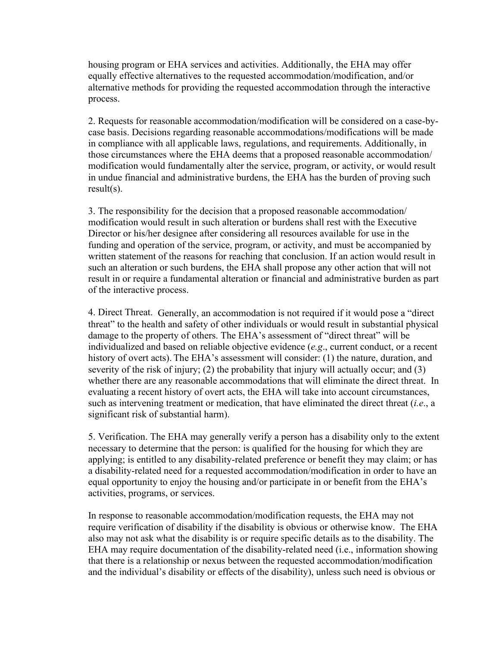housing program or EHA services and activities. Additionally, the EHA may offer equally effective alternatives to the requested accommodation/modification, and/or alternative methods for providing the requested accommodation through the interactive process.

2. Requests for reasonable accommodation/modification will be considered on a case-bycase basis. Decisions regarding reasonable accommodations/modifications will be made in compliance with all applicable laws, regulations, and requirements. Additionally, in those circumstances where the EHA deems that a proposed reasonable accommodation/ modification would fundamentally alter the service, program, or activity, or would result in undue financial and administrative burdens, the EHA has the burden of proving such result(s).

3. The responsibility for the decision that a proposed reasonable accommodation/ modification would result in such alteration or burdens shall rest with the Executive Director or his/her designee after considering all resources available for use in the funding and operation of the service, program, or activity, and must be accompanied by written statement of the reasons for reaching that conclusion. If an action would result in such an alteration or such burdens, the EHA shall propose any other action that will not result in or require a fundamental alteration or financial and administrative burden as part of the interactive process.

4. Direct Threat. Generally, an accommodation is not required if it would pose a "direct threat" to the health and safety of other individuals or would result in substantial physical damage to the property of others. The EHA's assessment of "direct threat" will be individualized and based on reliable objective evidence (*e.g*., current conduct, or a recent history of overt acts). The EHA's assessment will consider: (1) the nature, duration, and severity of the risk of injury; (2) the probability that injury will actually occur; and (3) whether there are any reasonable accommodations that will eliminate the direct threat. In evaluating a recent history of overt acts, the EHA will take into account circumstances, such as intervening treatment or medication, that have eliminated the direct threat (*i.e*., a significant risk of substantial harm).

5. Verification. The EHA may generally verify a person has a disability only to the extent necessary to determine that the person: is qualified for the housing for which they are applying; is entitled to any disability-related preference or benefit they may claim; or has a disability-related need for a requested accommodation/modification in order to have an equal opportunity to enjoy the housing and/or participate in or benefit from the EHA's activities, programs, or services.

In response to reasonable accommodation/modification requests, the EHA may not require verification of disability if the disability is obvious or otherwise know. The EHA also may not ask what the disability is or require specific details as to the disability. The EHA may require documentation of the disability-related need (i.e., information showing that there is a relationship or nexus between the requested accommodation/modification and the individual's disability or effects of the disability), unless such need is obvious or